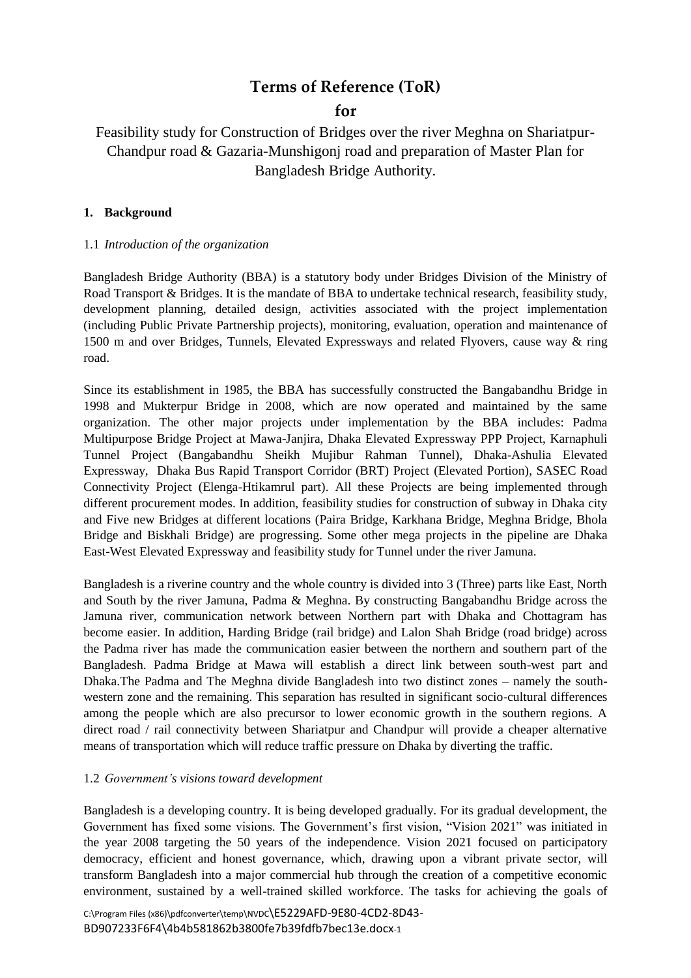# **Terms of Reference (ToR)**

## **for**

Feasibility study for Construction of Bridges over the river Meghna on Shariatpur-Chandpur road & Gazaria-Munshigonj road and preparation of Master Plan for Bangladesh Bridge Authority.

#### **1. Background**

#### 1.1 *Introduction of the organization*

Bangladesh Bridge Authority (BBA) is a statutory body under Bridges Division of the Ministry of Road Transport & Bridges. It is the mandate of BBA to undertake technical research, feasibility study, development planning, detailed design, activities associated with the project implementation (including Public Private Partnership projects), monitoring, evaluation, operation and maintenance of 1500 m and over Bridges, Tunnels, Elevated Expressways and related Flyovers, cause way & ring road.

Since its establishment in 1985, the BBA has successfully constructed the Bangabandhu Bridge in 1998 and Mukterpur Bridge in 2008, which are now operated and maintained by the same organization. The other major projects under implementation by the BBA includes: Padma Multipurpose Bridge Project at Mawa-Janjira, Dhaka Elevated Expressway PPP Project, Karnaphuli Tunnel Project (Bangabandhu Sheikh Mujibur Rahman Tunnel), Dhaka-Ashulia Elevated Expressway, Dhaka Bus Rapid Transport Corridor (BRT) Project (Elevated Portion), SASEC Road Connectivity Project (Elenga-Htikamrul part). All these Projects are being implemented through different procurement modes. In addition, feasibility studies for construction of subway in Dhaka city and Five new Bridges at different locations (Paira Bridge, Karkhana Bridge, Meghna Bridge, Bhola Bridge and Biskhali Bridge) are progressing. Some other mega projects in the pipeline are Dhaka East-West Elevated Expressway and feasibility study for Tunnel under the river Jamuna.

Bangladesh is a riverine country and the whole country is divided into 3 (Three) parts like East, North and South by the river Jamuna, Padma & Meghna. By constructing Bangabandhu Bridge across the Jamuna river, communication network between Northern part with Dhaka and Chottagram has become easier. In addition, Harding Bridge (rail bridge) and Lalon Shah Bridge (road bridge) across the Padma river has made the communication easier between the northern and southern part of the Bangladesh. Padma Bridge at Mawa will establish a direct link between south-west part and Dhaka.The Padma and The Meghna divide Bangladesh into two distinct zones – namely the southwestern zone and the remaining. This separation has resulted in significant socio-cultural differences among the people which are also precursor to lower economic growth in the southern regions. A direct road / rail connectivity between Shariatpur and Chandpur will provide a cheaper alternative means of transportation which will reduce traffic pressure on Dhaka by diverting the traffic.

#### 1.2 *Government's visions toward development*

Bangladesh is a developing country. It is being developed gradually. For its gradual development, the Government has fixed some visions. The Government's first vision, "Vision 2021" was initiated in the year 2008 targeting the 50 years of the independence. Vision 2021 focused on participatory democracy, efficient and honest governance, which, drawing upon a vibrant private sector, will transform Bangladesh into a major commercial hub through the creation of a competitive economic environment, sustained by a well-trained skilled workforce. The tasks for achieving the goals of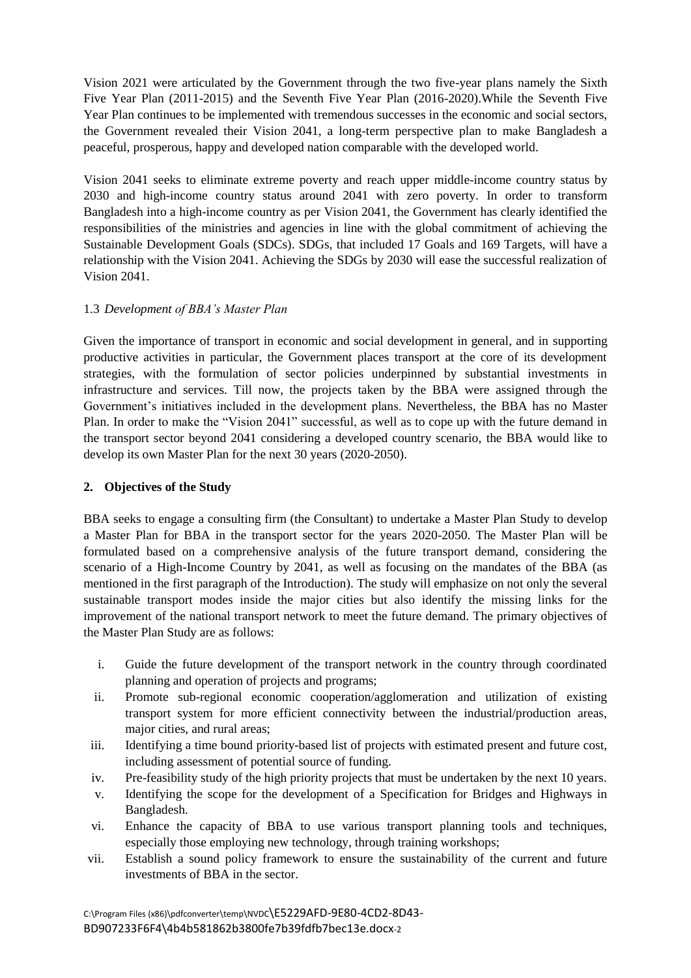Vision 2021 were articulated by the Government through the two five-year plans namely the Sixth Five Year Plan (2011-2015) and the Seventh Five Year Plan (2016-2020).While the Seventh Five Year Plan continues to be implemented with tremendous successes in the economic and social sectors, the Government revealed their Vision 2041, a long-term perspective plan to make Bangladesh a peaceful, prosperous, happy and developed nation comparable with the developed world.

Vision 2041 seeks to eliminate extreme poverty and reach upper middle-income country status by 2030 and high-income country status around 2041 with zero poverty. In order to transform Bangladesh into a high-income country as per Vision 2041, the Government has clearly identified the responsibilities of the ministries and agencies in line with the global commitment of achieving the Sustainable Development Goals (SDCs). SDGs, that included 17 Goals and 169 Targets, will have a relationship with the Vision 2041. Achieving the SDGs by 2030 will ease the successful realization of Vision 2041.

## 1.3 *Development of BBA's Master Plan*

Given the importance of transport in economic and social development in general, and in supporting productive activities in particular, the Government places transport at the core of its development strategies, with the formulation of sector policies underpinned by substantial investments in infrastructure and services. Till now, the projects taken by the BBA were assigned through the Government's initiatives included in the development plans. Nevertheless, the BBA has no Master Plan. In order to make the "Vision 2041" successful, as well as to cope up with the future demand in the transport sector beyond 2041 considering a developed country scenario, the BBA would like to develop its own Master Plan for the next 30 years (2020-2050).

#### **2. Objectives of the Study**

BBA seeks to engage a consulting firm (the Consultant) to undertake a Master Plan Study to develop a Master Plan for BBA in the transport sector for the years 2020-2050. The Master Plan will be formulated based on a comprehensive analysis of the future transport demand, considering the scenario of a High-Income Country by 2041, as well as focusing on the mandates of the BBA (as mentioned in the first paragraph of the Introduction). The study will emphasize on not only the several sustainable transport modes inside the major cities but also identify the missing links for the improvement of the national transport network to meet the future demand. The primary objectives of the Master Plan Study are as follows:

- i. Guide the future development of the transport network in the country through coordinated planning and operation of projects and programs;
- ii. Promote sub-regional economic cooperation/agglomeration and utilization of existing transport system for more efficient connectivity between the industrial/production areas, major cities, and rural areas;
- iii. Identifying a time bound priority-based list of projects with estimated present and future cost, including assessment of potential source of funding.
- iv. Pre-feasibility study of the high priority projects that must be undertaken by the next 10 years.
- v. Identifying the scope for the development of a Specification for Bridges and Highways in Bangladesh.
- vi. Enhance the capacity of BBA to use various transport planning tools and techniques, especially those employing new technology, through training workshops;
- vii. Establish a sound policy framework to ensure the sustainability of the current and future investments of BBA in the sector.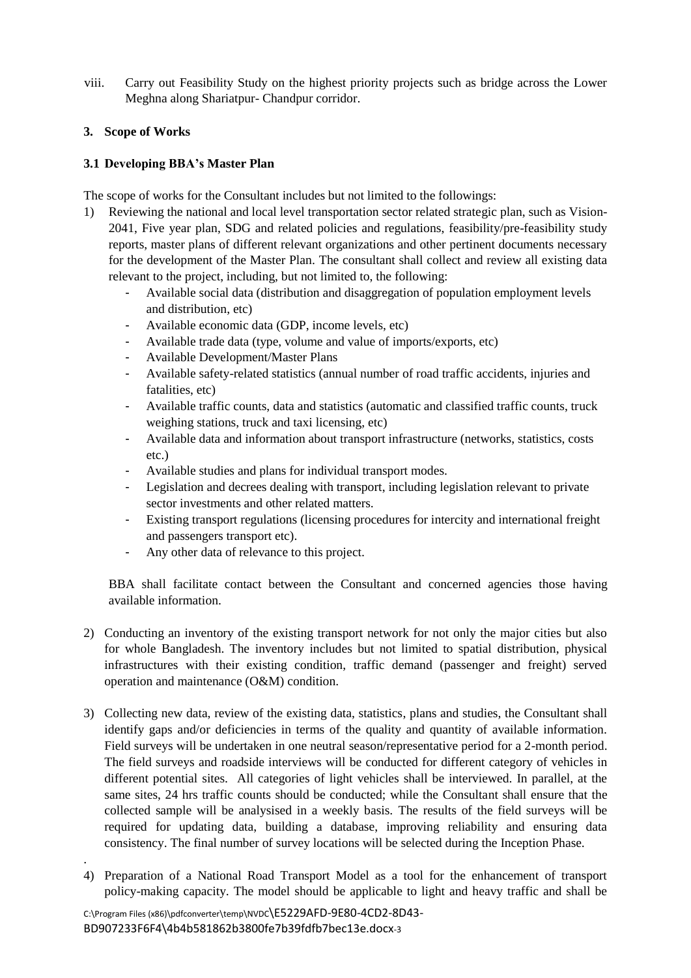viii. Carry out Feasibility Study on the highest priority projects such as bridge across the Lower Meghna along Shariatpur- Chandpur corridor.

#### **3. Scope of Works**

## **3.1 Developing BBA's Master Plan**

The scope of works for the Consultant includes but not limited to the followings:

- 1) Reviewing the national and local level transportation sector related strategic plan, such as Vision-2041, Five year plan, SDG and related policies and regulations, feasibility/pre-feasibility study reports, master plans of different relevant organizations and other pertinent documents necessary for the development of the Master Plan. The consultant shall collect and review all existing data relevant to the project, including, but not limited to, the following:
	- Available social data (distribution and disaggregation of population employment levels and distribution, etc)
	- Available economic data (GDP, income levels, etc)
	- Available trade data (type, volume and value of imports/exports, etc)
	- Available Development/Master Plans
	- Available safety-related statistics (annual number of road traffic accidents, injuries and fatalities, etc)
	- Available traffic counts, data and statistics (automatic and classified traffic counts, truck weighing stations, truck and taxi licensing, etc)
	- Available data and information about transport infrastructure (networks, statistics, costs etc.)
	- Available studies and plans for individual transport modes.
	- Legislation and decrees dealing with transport, including legislation relevant to private sector investments and other related matters.
	- Existing transport regulations (licensing procedures for intercity and international freight and passengers transport etc).
	- Any other data of relevance to this project.

BBA shall facilitate contact between the Consultant and concerned agencies those having available information.

- 2) Conducting an inventory of the existing transport network for not only the major cities but also for whole Bangladesh. The inventory includes but not limited to spatial distribution, physical infrastructures with their existing condition, traffic demand (passenger and freight) served operation and maintenance (O&M) condition.
- 3) Collecting new data, review of the existing data, statistics, plans and studies, the Consultant shall identify gaps and/or deficiencies in terms of the quality and quantity of available information. Field surveys will be undertaken in one neutral season/representative period for a 2-month period. The field surveys and roadside interviews will be conducted for different category of vehicles in different potential sites. All categories of light vehicles shall be interviewed. In parallel, at the same sites, 24 hrs traffic counts should be conducted; while the Consultant shall ensure that the collected sample will be analysised in a weekly basis. The results of the field surveys will be required for updating data, building a database, improving reliability and ensuring data consistency. The final number of survey locations will be selected during the Inception Phase.
- 4) Preparation of a National Road Transport Model as a tool for the enhancement of transport policy-making capacity. The model should be applicable to light and heavy traffic and shall be

.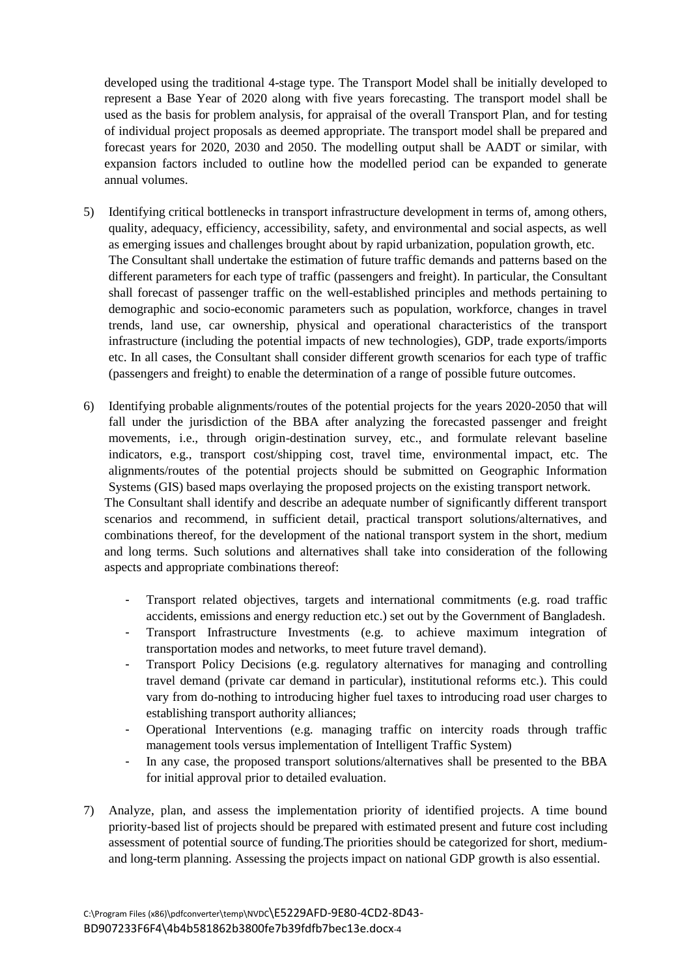developed using the traditional 4-stage type. The Transport Model shall be initially developed to represent a Base Year of 2020 along with five years forecasting. The transport model shall be used as the basis for problem analysis, for appraisal of the overall Transport Plan, and for testing of individual project proposals as deemed appropriate. The transport model shall be prepared and forecast years for 2020, 2030 and 2050. The modelling output shall be AADT or similar, with expansion factors included to outline how the modelled period can be expanded to generate annual volumes.

- 5) Identifying critical bottlenecks in transport infrastructure development in terms of, among others, quality, adequacy, efficiency, accessibility, safety, and environmental and social aspects, as well as emerging issues and challenges brought about by rapid urbanization, population growth, etc. The Consultant shall undertake the estimation of future traffic demands and patterns based on the different parameters for each type of traffic (passengers and freight). In particular, the Consultant shall forecast of passenger traffic on the well-established principles and methods pertaining to demographic and socio-economic parameters such as population, workforce, changes in travel trends, land use, car ownership, physical and operational characteristics of the transport infrastructure (including the potential impacts of new technologies), GDP, trade exports/imports etc. In all cases, the Consultant shall consider different growth scenarios for each type of traffic (passengers and freight) to enable the determination of a range of possible future outcomes.
- 6) Identifying probable alignments/routes of the potential projects for the years 2020-2050 that will fall under the jurisdiction of the BBA after analyzing the forecasted passenger and freight movements, i.e., through origin-destination survey, etc., and formulate relevant baseline indicators, e.g., transport cost/shipping cost, travel time, environmental impact, etc. The alignments/routes of the potential projects should be submitted on Geographic Information Systems (GIS) based maps overlaying the proposed projects on the existing transport network. The Consultant shall identify and describe an adequate number of significantly different transport scenarios and recommend, in sufficient detail, practical transport solutions/alternatives, and combinations thereof, for the development of the national transport system in the short, medium and long terms. Such solutions and alternatives shall take into consideration of the following aspects and appropriate combinations thereof:
	- Transport related objectives, targets and international commitments (e.g. road traffic accidents, emissions and energy reduction etc.) set out by the Government of Bangladesh.
	- Transport Infrastructure Investments (e.g. to achieve maximum integration of transportation modes and networks, to meet future travel demand).
	- Transport Policy Decisions (e.g. regulatory alternatives for managing and controlling travel demand (private car demand in particular), institutional reforms etc.). This could vary from do-nothing to introducing higher fuel taxes to introducing road user charges to establishing transport authority alliances;
	- Operational Interventions (e.g. managing traffic on intercity roads through traffic management tools versus implementation of Intelligent Traffic System)
	- In any case, the proposed transport solutions/alternatives shall be presented to the BBA for initial approval prior to detailed evaluation.
- 7) Analyze, plan, and assess the implementation priority of identified projects. A time bound priority-based list of projects should be prepared with estimated present and future cost including assessment of potential source of funding.The priorities should be categorized for short, mediumand long-term planning. Assessing the projects impact on national GDP growth is also essential.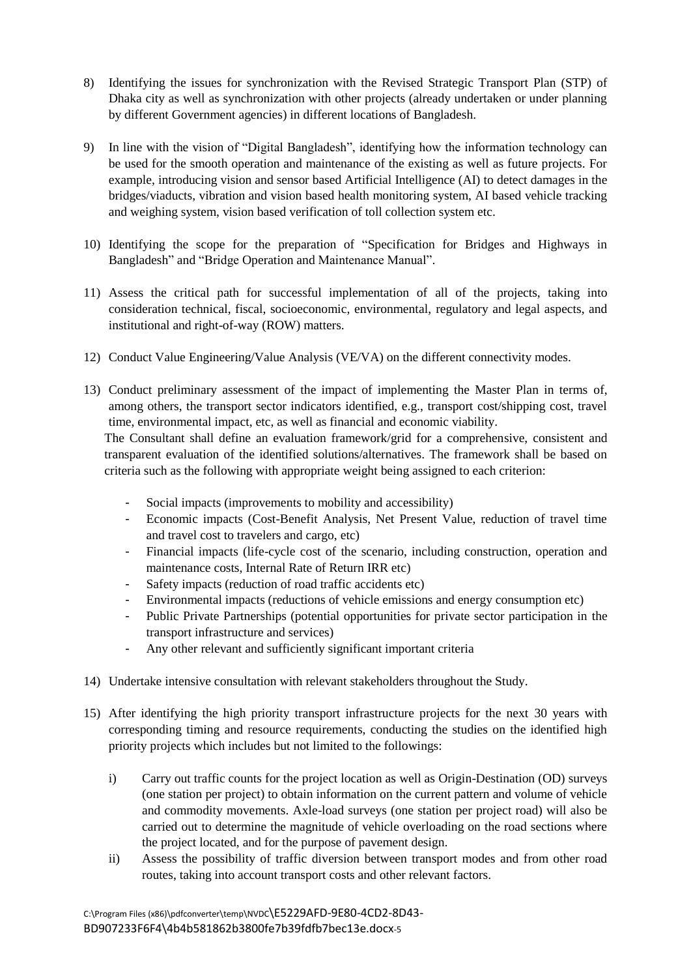- 8) Identifying the issues for synchronization with the Revised Strategic Transport Plan (STP) of Dhaka city as well as synchronization with other projects (already undertaken or under planning by different Government agencies) in different locations of Bangladesh.
- 9) In line with the vision of "Digital Bangladesh", identifying how the information technology can be used for the smooth operation and maintenance of the existing as well as future projects. For example, introducing vision and sensor based Artificial Intelligence (AI) to detect damages in the bridges/viaducts, vibration and vision based health monitoring system, AI based vehicle tracking and weighing system, vision based verification of toll collection system etc.
- 10) Identifying the scope for the preparation of "Specification for Bridges and Highways in Bangladesh" and "Bridge Operation and Maintenance Manual".
- 11) Assess the critical path for successful implementation of all of the projects, taking into consideration technical, fiscal, socioeconomic, environmental, regulatory and legal aspects, and institutional and right-of-way (ROW) matters.
- 12) Conduct Value Engineering/Value Analysis (VE/VA) on the different connectivity modes.
- 13) Conduct preliminary assessment of the impact of implementing the Master Plan in terms of, among others, the transport sector indicators identified, e.g., transport cost/shipping cost, travel time, environmental impact, etc, as well as financial and economic viability.

The Consultant shall define an evaluation framework/grid for a comprehensive, consistent and transparent evaluation of the identified solutions/alternatives. The framework shall be based on criteria such as the following with appropriate weight being assigned to each criterion:

- Social impacts (improvements to mobility and accessibility)
- Economic impacts (Cost-Benefit Analysis, Net Present Value, reduction of travel time and travel cost to travelers and cargo, etc)
- Financial impacts (life-cycle cost of the scenario, including construction, operation and maintenance costs, Internal Rate of Return IRR etc)
- Safety impacts (reduction of road traffic accidents etc)
- Environmental impacts (reductions of vehicle emissions and energy consumption etc)
- Public Private Partnerships (potential opportunities for private sector participation in the transport infrastructure and services)
- Any other relevant and sufficiently significant important criteria
- 14) Undertake intensive consultation with relevant stakeholders throughout the Study.
- 15) After identifying the high priority transport infrastructure projects for the next 30 years with corresponding timing and resource requirements, conducting the studies on the identified high priority projects which includes but not limited to the followings:
	- i) Carry out traffic counts for the project location as well as Origin-Destination (OD) surveys (one station per project) to obtain information on the current pattern and volume of vehicle and commodity movements. Axle-load surveys (one station per project road) will also be carried out to determine the magnitude of vehicle overloading on the road sections where the project located, and for the purpose of pavement design.
	- ii) Assess the possibility of traffic diversion between transport modes and from other road routes, taking into account transport costs and other relevant factors.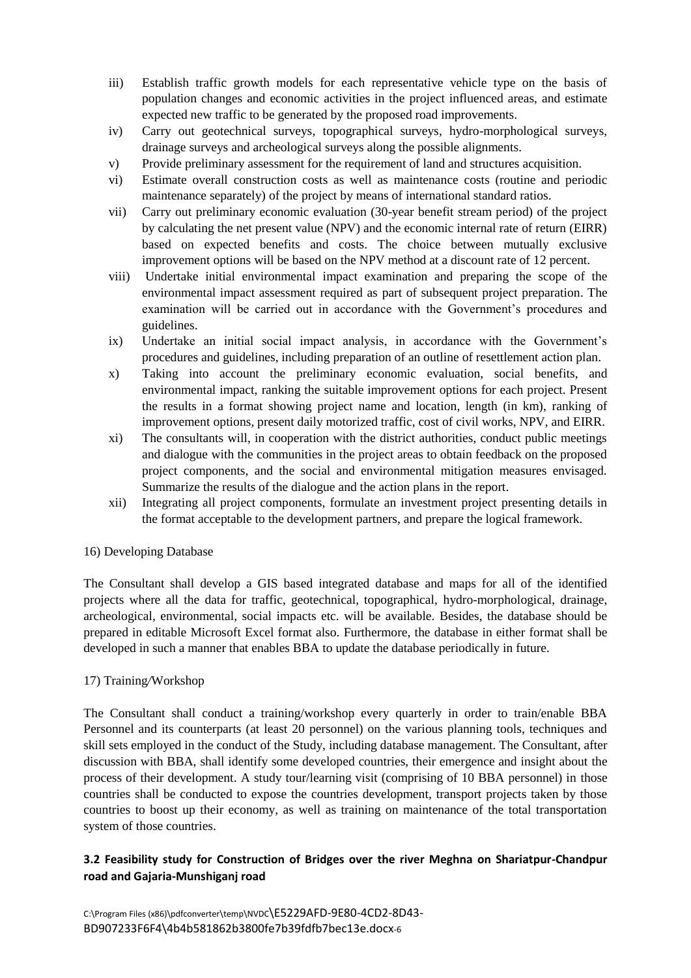- iii) Establish traffic growth models for each representative vehicle type on the basis of population changes and economic activities in the project influenced areas, and estimate expected new traffic to be generated by the proposed road improvements.
- iv) Carry out geotechnical surveys, topographical surveys, hydro-morphological surveys, drainage surveys and archeological surveys along the possible alignments.
- v) Provide preliminary assessment for the requirement of land and structures acquisition.
- vi) Estimate overall construction costs as well as maintenance costs (routine and periodic maintenance separately) of the project by means of international standard ratios.
- vii) Carry out preliminary economic evaluation (30-year benefit stream period) of the project by calculating the net present value (NPV) and the economic internal rate of return (EIRR) based on expected benefits and costs. The choice between mutually exclusive improvement options will be based on the NPV method at a discount rate of 12 percent.
- viii) Undertake initial environmental impact examination and preparing the scope of the environmental impact assessment required as part of subsequent project preparation. The examination will be carried out in accordance with the Government's procedures and guidelines.
- ix) Undertake an initial social impact analysis, in accordance with the Government's procedures and guidelines, including preparation of an outline of resettlement action plan.
- x) Taking into account the preliminary economic evaluation, social benefits, and environmental impact, ranking the suitable improvement options for each project. Present the results in a format showing project name and location, length (in km), ranking of improvement options, present daily motorized traffic, cost of civil works, NPV, and EIRR.
- xi) The consultants will, in cooperation with the district authorities, conduct public meetings and dialogue with the communities in the project areas to obtain feedback on the proposed project components, and the social and environmental mitigation measures envisaged. Summarize the results of the dialogue and the action plans in the report.
- xii) Integrating all project components, formulate an investment project presenting details in the format acceptable to the development partners, and prepare the logical framework.

#### 16) Developing Database

The Consultant shall develop a GIS based integrated database and maps for all of the identified projects where all the data for traffic, geotechnical, topographical, hydro-morphological, drainage, archeological, environmental, social impacts etc. will be available. Besides, the database should be prepared in editable Microsoft Excel format also. Furthermore, the database in either format shall be developed in such a manner that enables BBA to update the database periodically in future.

#### 17) Training*/*Workshop

The Consultant shall conduct a training/workshop every quarterly in order to train/enable BBA Personnel and its counterparts (at least 20 personnel) on the various planning tools, techniques and skill sets employed in the conduct of the Study, including database management. The Consultant, after discussion with BBA, shall identify some developed countries, their emergence and insight about the process of their development. A study tour/learning visit (comprising of 10 BBA personnel) in those countries shall be conducted to expose the countries development, transport projects taken by those countries to boost up their economy, as well as training on maintenance of the total transportation system of those countries.

## **3.2 Feasibility study for Construction of Bridges over the river Meghna on Shariatpur-Chandpur road and Gajaria-Munshiganj road**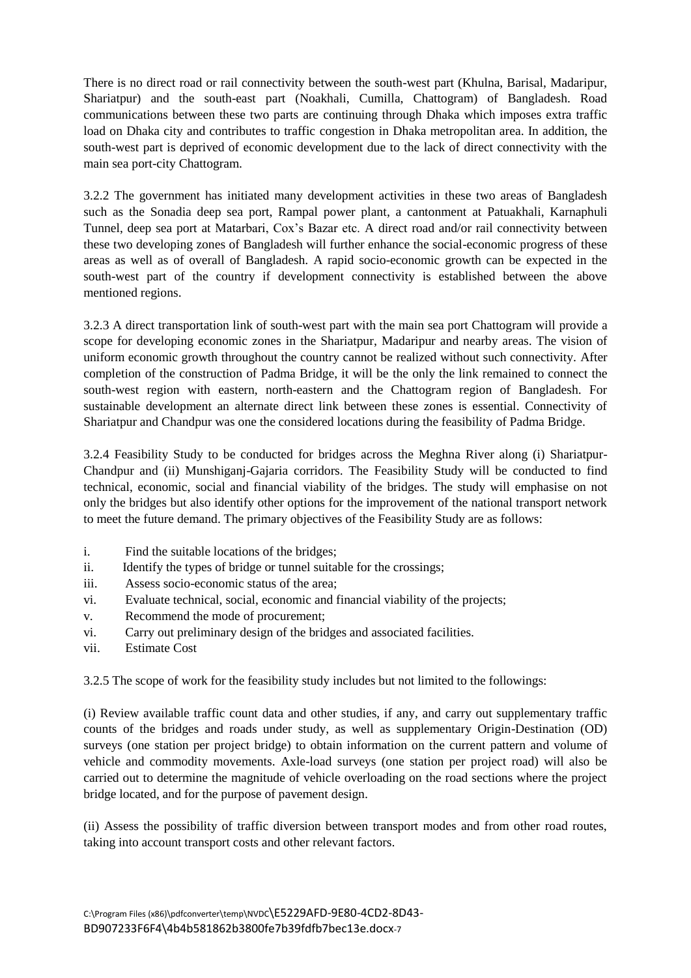There is no direct road or rail connectivity between the south-west part (Khulna, Barisal, Madaripur, Shariatpur) and the south-east part (Noakhali, Cumilla, Chattogram) of Bangladesh. Road communications between these two parts are continuing through Dhaka which imposes extra traffic load on Dhaka city and contributes to traffic congestion in Dhaka metropolitan area. In addition, the south-west part is deprived of economic development due to the lack of direct connectivity with the main sea port-city Chattogram.

3.2.2 The government has initiated many development activities in these two areas of Bangladesh such as the Sonadia deep sea port, Rampal power plant, a cantonment at Patuakhali, Karnaphuli Tunnel, deep sea port at Matarbari, Cox's Bazar etc. A direct road and/or rail connectivity between these two developing zones of Bangladesh will further enhance the social-economic progress of these areas as well as of overall of Bangladesh. A rapid socio-economic growth can be expected in the south-west part of the country if development connectivity is established between the above mentioned regions.

3.2.3 A direct transportation link of south-west part with the main sea port Chattogram will provide a scope for developing economic zones in the Shariatpur, Madaripur and nearby areas. The vision of uniform economic growth throughout the country cannot be realized without such connectivity. After completion of the construction of Padma Bridge, it will be the only the link remained to connect the south-west region with eastern, north-eastern and the Chattogram region of Bangladesh. For sustainable development an alternate direct link between these zones is essential. Connectivity of Shariatpur and Chandpur was one the considered locations during the feasibility of Padma Bridge.

3.2.4 Feasibility Study to be conducted for bridges across the Meghna River along (i) Shariatpur-Chandpur and (ii) Munshiganj-Gajaria corridors. The Feasibility Study will be conducted to find technical, economic, social and financial viability of the bridges. The study will emphasise on not only the bridges but also identify other options for the improvement of the national transport network to meet the future demand. The primary objectives of the Feasibility Study are as follows:

- i. Find the suitable locations of the bridges;
- ii. Identify the types of bridge or tunnel suitable for the crossings;
- iii. Assess socio-economic status of the area;
- vi. Evaluate technical, social, economic and financial viability of the projects;
- v. Recommend the mode of procurement;
- vi. Carry out preliminary design of the bridges and associated facilities.
- vii. Estimate Cost

3.2.5 The scope of work for the feasibility study includes but not limited to the followings:

(i) Review available traffic count data and other studies, if any, and carry out supplementary traffic counts of the bridges and roads under study, as well as supplementary Origin-Destination (OD) surveys (one station per project bridge) to obtain information on the current pattern and volume of vehicle and commodity movements. Axle-load surveys (one station per project road) will also be carried out to determine the magnitude of vehicle overloading on the road sections where the project bridge located, and for the purpose of pavement design.

(ii) Assess the possibility of traffic diversion between transport modes and from other road routes, taking into account transport costs and other relevant factors.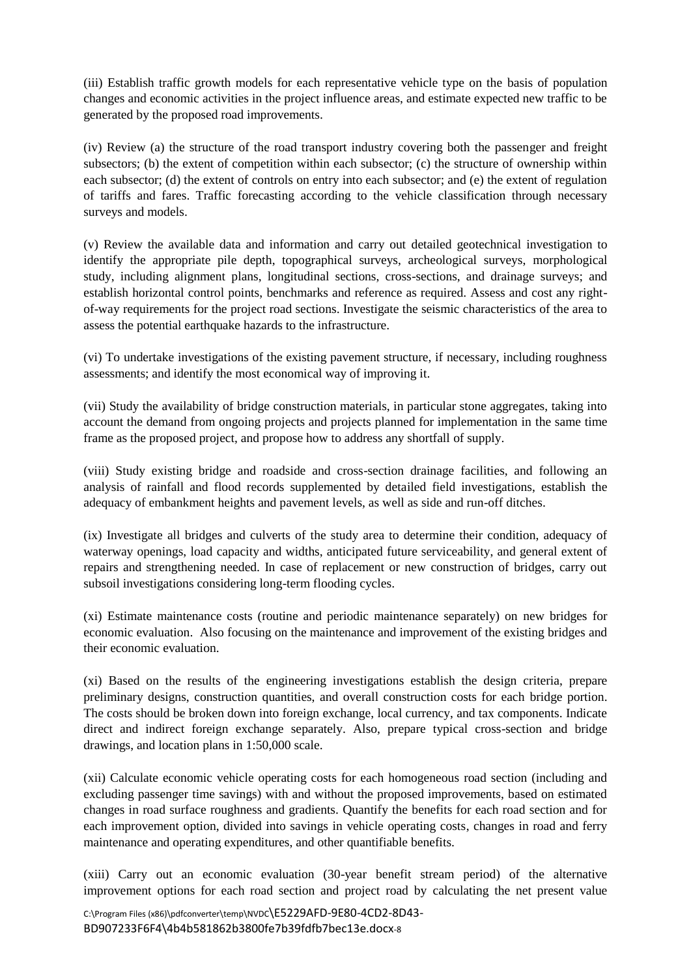(iii) Establish traffic growth models for each representative vehicle type on the basis of population changes and economic activities in the project influence areas, and estimate expected new traffic to be generated by the proposed road improvements.

(iv) Review (a) the structure of the road transport industry covering both the passenger and freight subsectors; (b) the extent of competition within each subsector; (c) the structure of ownership within each subsector; (d) the extent of controls on entry into each subsector; and (e) the extent of regulation of tariffs and fares. Traffic forecasting according to the vehicle classification through necessary surveys and models.

(v) Review the available data and information and carry out detailed geotechnical investigation to identify the appropriate pile depth, topographical surveys, archeological surveys, morphological study, including alignment plans, longitudinal sections, cross-sections, and drainage surveys; and establish horizontal control points, benchmarks and reference as required. Assess and cost any rightof-way requirements for the project road sections. Investigate the seismic characteristics of the area to assess the potential earthquake hazards to the infrastructure.

(vi) To undertake investigations of the existing pavement structure, if necessary, including roughness assessments; and identify the most economical way of improving it.

(vii) Study the availability of bridge construction materials, in particular stone aggregates, taking into account the demand from ongoing projects and projects planned for implementation in the same time frame as the proposed project, and propose how to address any shortfall of supply.

(viii) Study existing bridge and roadside and cross-section drainage facilities, and following an analysis of rainfall and flood records supplemented by detailed field investigations, establish the adequacy of embankment heights and pavement levels, as well as side and run-off ditches.

(ix) Investigate all bridges and culverts of the study area to determine their condition, adequacy of waterway openings, load capacity and widths, anticipated future serviceability, and general extent of repairs and strengthening needed. In case of replacement or new construction of bridges, carry out subsoil investigations considering long-term flooding cycles.

(xi) Estimate maintenance costs (routine and periodic maintenance separately) on new bridges for economic evaluation. Also focusing on the maintenance and improvement of the existing bridges and their economic evaluation.

(xi) Based on the results of the engineering investigations establish the design criteria, prepare preliminary designs, construction quantities, and overall construction costs for each bridge portion. The costs should be broken down into foreign exchange, local currency, and tax components. Indicate direct and indirect foreign exchange separately. Also, prepare typical cross-section and bridge drawings, and location plans in 1:50,000 scale.

(xii) Calculate economic vehicle operating costs for each homogeneous road section (including and excluding passenger time savings) with and without the proposed improvements, based on estimated changes in road surface roughness and gradients. Quantify the benefits for each road section and for each improvement option, divided into savings in vehicle operating costs, changes in road and ferry maintenance and operating expenditures, and other quantifiable benefits.

(xiii) Carry out an economic evaluation (30-year benefit stream period) of the alternative improvement options for each road section and project road by calculating the net present value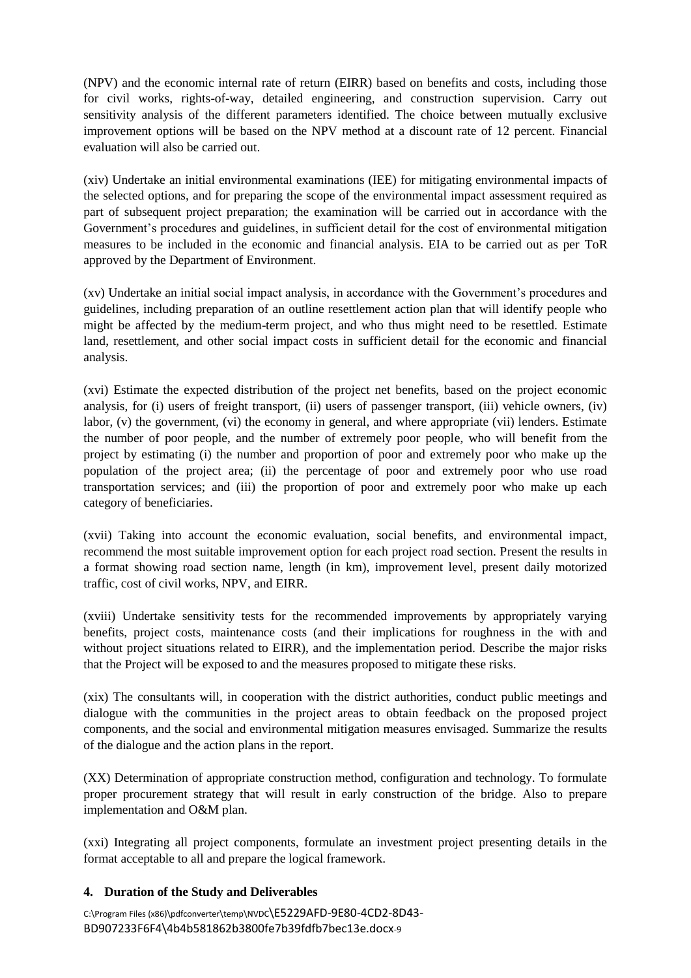(NPV) and the economic internal rate of return (EIRR) based on benefits and costs, including those for civil works, rights-of-way, detailed engineering, and construction supervision. Carry out sensitivity analysis of the different parameters identified. The choice between mutually exclusive improvement options will be based on the NPV method at a discount rate of 12 percent. Financial evaluation will also be carried out.

(xiv) Undertake an initial environmental examinations (IEE) for mitigating environmental impacts of the selected options, and for preparing the scope of the environmental impact assessment required as part of subsequent project preparation; the examination will be carried out in accordance with the Government's procedures and guidelines, in sufficient detail for the cost of environmental mitigation measures to be included in the economic and financial analysis. EIA to be carried out as per ToR approved by the Department of Environment.

(xv) Undertake an initial social impact analysis, in accordance with the Government's procedures and guidelines, including preparation of an outline resettlement action plan that will identify people who might be affected by the medium-term project, and who thus might need to be resettled. Estimate land, resettlement, and other social impact costs in sufficient detail for the economic and financial analysis.

(xvi) Estimate the expected distribution of the project net benefits, based on the project economic analysis, for (i) users of freight transport, (ii) users of passenger transport, (iii) vehicle owners, (iv) labor, (v) the government, (vi) the economy in general, and where appropriate (vii) lenders. Estimate the number of poor people, and the number of extremely poor people, who will benefit from the project by estimating (i) the number and proportion of poor and extremely poor who make up the population of the project area; (ii) the percentage of poor and extremely poor who use road transportation services; and (iii) the proportion of poor and extremely poor who make up each category of beneficiaries.

(xvii) Taking into account the economic evaluation, social benefits, and environmental impact, recommend the most suitable improvement option for each project road section. Present the results in a format showing road section name, length (in km), improvement level, present daily motorized traffic, cost of civil works, NPV, and EIRR.

(xviii) Undertake sensitivity tests for the recommended improvements by appropriately varying benefits, project costs, maintenance costs (and their implications for roughness in the with and without project situations related to EIRR), and the implementation period. Describe the major risks that the Project will be exposed to and the measures proposed to mitigate these risks.

(xix) The consultants will, in cooperation with the district authorities, conduct public meetings and dialogue with the communities in the project areas to obtain feedback on the proposed project components, and the social and environmental mitigation measures envisaged. Summarize the results of the dialogue and the action plans in the report.

(XX) Determination of appropriate construction method, configuration and technology. To formulate proper procurement strategy that will result in early construction of the bridge. Also to prepare implementation and O&M plan.

(xxi) Integrating all project components, formulate an investment project presenting details in the format acceptable to all and prepare the logical framework.

#### **4. Duration of the Study and Deliverables**

C:\Program Files (x86)\pdfconverter\temp\NVDC\E5229AFD-9E80-4CD2-8D43- BD907233F6F4\4b4b581862b3800fe7b39fdfb7bec13e.docx-9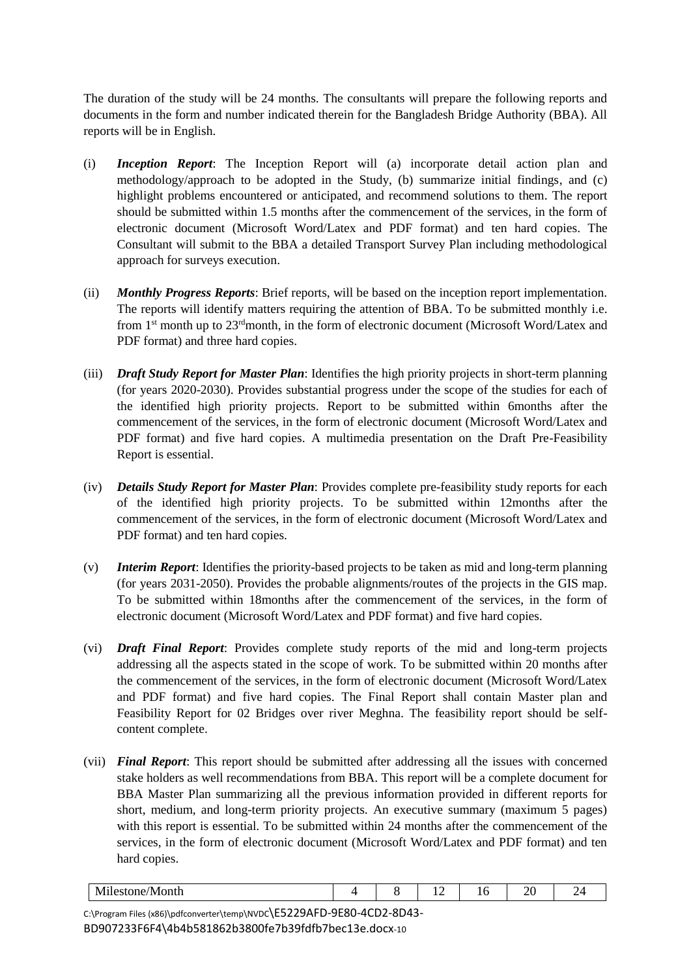The duration of the study will be 24 months. The consultants will prepare the following reports and documents in the form and number indicated therein for the Bangladesh Bridge Authority (BBA). All reports will be in English.

- (i) *Inception Report*: The Inception Report will (a) incorporate detail action plan and methodology/approach to be adopted in the Study, (b) summarize initial findings, and (c) highlight problems encountered or anticipated, and recommend solutions to them. The report should be submitted within 1.5 months after the commencement of the services, in the form of electronic document (Microsoft Word/Latex and PDF format) and ten hard copies. The Consultant will submit to the BBA a detailed Transport Survey Plan including methodological approach for surveys execution.
- (ii) *Monthly Progress Reports*: Brief reports, will be based on the inception report implementation. The reports will identify matters requiring the attention of BBA. To be submitted monthly i.e. from  $1<sup>st</sup>$  month up to  $23<sup>rd</sup>$ month, in the form of electronic document (Microsoft Word/Latex and PDF format) and three hard copies.
- (iii) *Draft Study Report for Master Plan*: Identifies the high priority projects in short-term planning (for years 2020-2030). Provides substantial progress under the scope of the studies for each of the identified high priority projects. Report to be submitted within 6months after the commencement of the services, in the form of electronic document (Microsoft Word/Latex and PDF format) and five hard copies. A multimedia presentation on the Draft Pre-Feasibility Report is essential.
- (iv) *Details Study Report for Master Plan*: Provides complete pre-feasibility study reports for each of the identified high priority projects. To be submitted within 12months after the commencement of the services, in the form of electronic document (Microsoft Word/Latex and PDF format) and ten hard copies.
- (v) *Interim Report*: Identifies the priority-based projects to be taken as mid and long-term planning (for years 2031-2050). Provides the probable alignments/routes of the projects in the GIS map. To be submitted within 18months after the commencement of the services, in the form of electronic document (Microsoft Word/Latex and PDF format) and five hard copies.
- (vi) *Draft Final Report*: Provides complete study reports of the mid and long-term projects addressing all the aspects stated in the scope of work. To be submitted within 20 months after the commencement of the services, in the form of electronic document (Microsoft Word/Latex and PDF format) and five hard copies. The Final Report shall contain Master plan and Feasibility Report for 02 Bridges over river Meghna. The feasibility report should be selfcontent complete.
- (vii) *Final Report*: This report should be submitted after addressing all the issues with concerned stake holders as well recommendations from BBA. This report will be a complete document for BBA Master Plan summarizing all the previous information provided in different reports for short, medium, and long-term priority projects. An executive summary (maximum 5 pages) with this report is essential. To be submitted within 24 months after the commencement of the services, in the form of electronic document (Microsoft Word/Latex and PDF format) and ten hard copies.

| $  -$<br>. .<br>IVI<br>VIOIIUI<br>. . |  | . .<br>$-$ | __ | $\sim$ |  |
|---------------------------------------|--|------------|----|--------|--|
|                                       |  |            |    |        |  |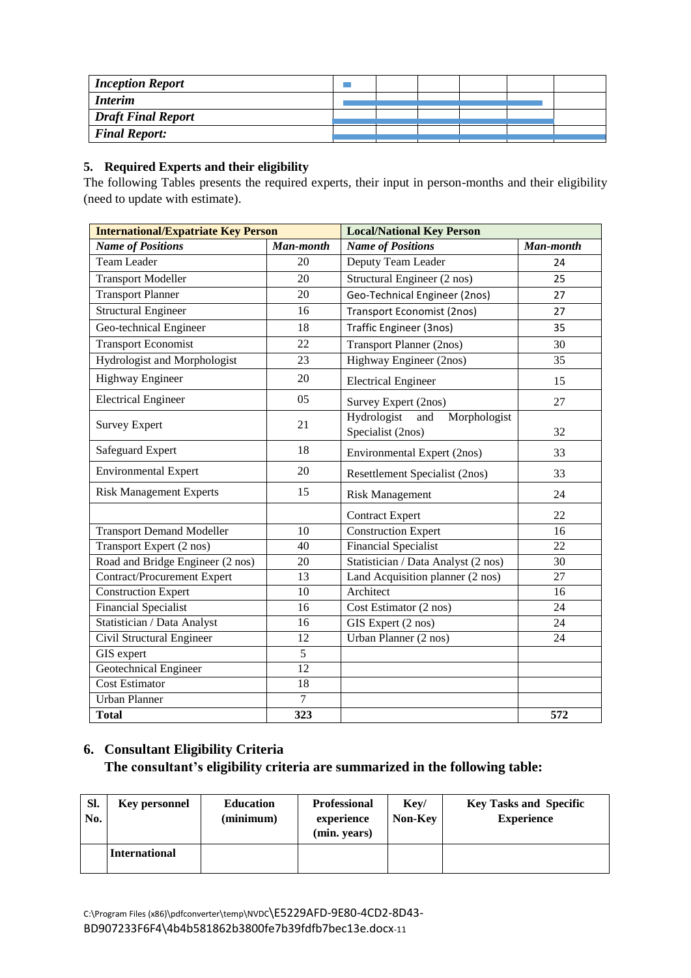| <b>Inception Report</b>   |  |  |  |
|---------------------------|--|--|--|
| <b>Interim</b>            |  |  |  |
| <b>Draft Final Report</b> |  |  |  |
| <b>Final Report:</b>      |  |  |  |

## **5. Required Experts and their eligibility**

The following Tables presents the required experts, their input in person-months and their eligibility (need to update with estimate).

| <b>International/Expatriate Key Person</b> |                 | <b>Local/National Key Person</b>                        |                 |  |  |
|--------------------------------------------|-----------------|---------------------------------------------------------|-----------------|--|--|
| <b>Name of Positions</b>                   | Man-month       | <b>Name of Positions</b>                                | Man-month       |  |  |
| <b>Team Leader</b>                         | 20              | Deputy Team Leader                                      | 24              |  |  |
| <b>Transport Modeller</b>                  | 20              | Structural Engineer (2 nos)                             | 25              |  |  |
| <b>Transport Planner</b>                   | 20              | Geo-Technical Engineer (2nos)                           | 27              |  |  |
| <b>Structural Engineer</b>                 | 16              | <b>Transport Economist (2nos)</b>                       | 27              |  |  |
| Geo-technical Engineer                     | 18              | <b>Traffic Engineer (3nos)</b>                          | 35              |  |  |
| <b>Transport Economist</b>                 | 22              | <b>Transport Planner (2nos)</b>                         | 30              |  |  |
| Hydrologist and Morphologist               | 23              | Highway Engineer (2nos)                                 | 35              |  |  |
| <b>Highway Engineer</b>                    | 20              | <b>Electrical Engineer</b>                              | 15              |  |  |
| <b>Electrical Engineer</b>                 | 05              | Survey Expert (2nos)                                    | 27              |  |  |
| <b>Survey Expert</b>                       | 21              | Hydrologist<br>Morphologist<br>and<br>Specialist (2nos) | 32              |  |  |
| Safeguard Expert                           | 18              | Environmental Expert (2nos)                             | 33              |  |  |
| <b>Environmental Expert</b>                | 20              | Resettlement Specialist (2nos)                          | 33              |  |  |
| <b>Risk Management Experts</b>             | 15              | <b>Risk Management</b>                                  | 24              |  |  |
|                                            |                 | <b>Contract Expert</b>                                  | 22              |  |  |
| <b>Transport Demand Modeller</b>           | 10              | <b>Construction Expert</b>                              | 16              |  |  |
| Transport Expert (2 nos)                   | 40              | Financial Specialist                                    | 22              |  |  |
| Road and Bridge Engineer (2 nos)           | 20              | Statistician / Data Analyst (2 nos)                     | 30              |  |  |
| <b>Contract/Procurement Expert</b>         | 13              | Land Acquisition planner (2 nos)                        | 27              |  |  |
| <b>Construction Expert</b>                 | 10              | Architect                                               | 16              |  |  |
| <b>Financial Specialist</b>                | 16              | Cost Estimator (2 nos)                                  | $\overline{24}$ |  |  |
| Statistician / Data Analyst                | 16              | GIS Expert (2 nos)                                      | 24              |  |  |
| Civil Structural Engineer                  | 12              | Urban Planner (2 nos)                                   | $\overline{24}$ |  |  |
| GIS expert                                 | $\overline{5}$  |                                                         |                 |  |  |
| Geotechnical Engineer                      | $\overline{12}$ |                                                         |                 |  |  |
| <b>Cost Estimator</b>                      | 18              |                                                         |                 |  |  |
| <b>Urban Planner</b>                       | $\overline{7}$  |                                                         |                 |  |  |
| <b>Total</b>                               | 323             |                                                         | 572             |  |  |

# **6. Consultant Eligibility Criteria The consultant's eligibility criteria are summarized in the following table:**

| SI.<br>No. | <b>Key personnel</b> | <b>Education</b><br>(minimum) | <b>Professional</b><br>experience<br>(min. years) | Key/<br>Non-Key | <b>Key Tasks and Specific</b><br><b>Experience</b> |
|------------|----------------------|-------------------------------|---------------------------------------------------|-----------------|----------------------------------------------------|
|            | <b>International</b> |                               |                                                   |                 |                                                    |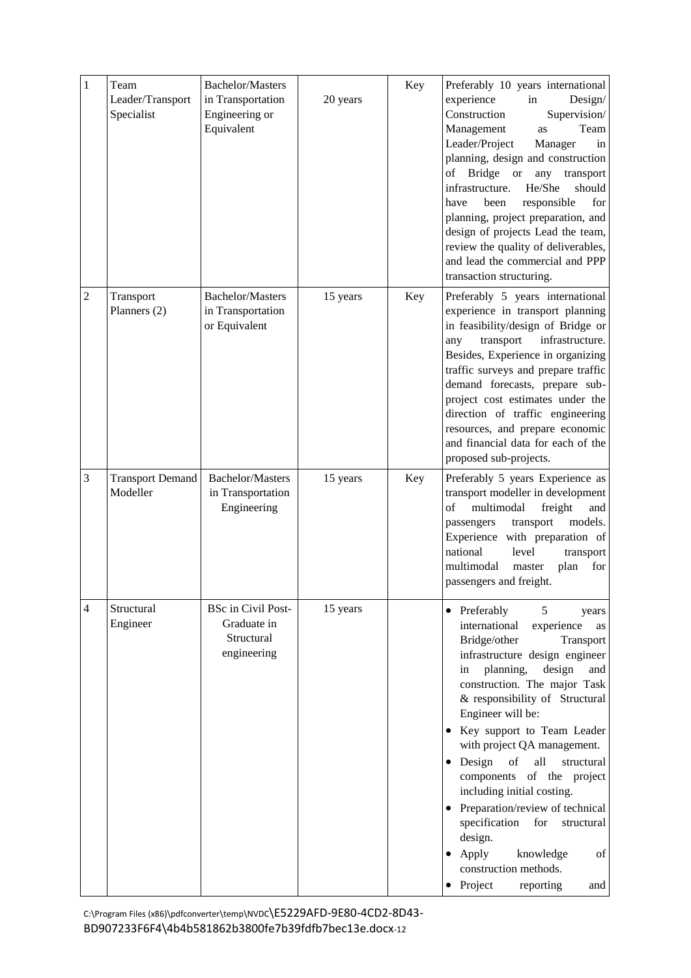| $\mathbf{1}$ | Team<br>Leader/Transport<br>Specialist | <b>Bachelor/Masters</b><br>in Transportation<br>Engineering or<br>Equivalent | 20 years | Key | Preferably 10 years international<br>experience<br>in<br>Design/<br>Construction<br>Supervision/<br>Team<br>Management<br>as<br>Leader/Project<br>Manager<br>in<br>planning, design and construction<br><b>Bridge</b><br><sub>or</sub><br>of<br>any<br>transport<br>He/She<br>infrastructure.<br>should<br>have<br>been<br>responsible<br>for<br>planning, project preparation, and<br>design of projects Lead the team,<br>review the quality of deliverables,<br>and lead the commercial and PPP<br>transaction structuring.                                                                             |
|--------------|----------------------------------------|------------------------------------------------------------------------------|----------|-----|------------------------------------------------------------------------------------------------------------------------------------------------------------------------------------------------------------------------------------------------------------------------------------------------------------------------------------------------------------------------------------------------------------------------------------------------------------------------------------------------------------------------------------------------------------------------------------------------------------|
| 2            | Transport<br>Planners (2)              | <b>Bachelor/Masters</b><br>in Transportation<br>or Equivalent                | 15 years | Key | Preferably 5 years international<br>experience in transport planning<br>in feasibility/design of Bridge or<br>transport<br>infrastructure.<br>any<br>Besides, Experience in organizing<br>traffic surveys and prepare traffic<br>demand forecasts, prepare sub-<br>project cost estimates under the<br>direction of traffic engineering<br>resources, and prepare economic<br>and financial data for each of the<br>proposed sub-projects.                                                                                                                                                                 |
| 3            | <b>Transport Demand</b><br>Modeller    | <b>Bachelor/Masters</b><br>in Transportation<br>Engineering                  | 15 years | Key | Preferably 5 years Experience as<br>transport modeller in development<br>of<br>multimodal<br>freight<br>and<br>models.<br>transport<br>passengers<br>Experience with preparation of<br>national<br>level<br>transport<br>multimodal<br>master<br>plan<br>for<br>passengers and freight.                                                                                                                                                                                                                                                                                                                    |
| 4            | Structural<br>Engineer                 | <b>BSc in Civil Post-</b><br>Graduate in<br>Structural<br>engineering        | 15 years |     | 5<br>• Preferably<br>years<br>international<br>experience<br>as<br>Bridge/other<br>Transport<br>infrastructure design engineer<br>design<br>planning,<br>and<br>in<br>construction. The major Task<br>& responsibility of Structural<br>Engineer will be:<br>Key support to Team Leader<br>with project QA management.<br>• Design<br>all<br>of<br>structural<br>components of the project<br>including initial costing.<br>Preparation/review of technical<br>specification<br>for<br>structural<br>design.<br>$\bullet$ Apply<br>knowledge<br>of<br>construction methods.<br>Project<br>reporting<br>and |

C:\Program Files (x86)\pdfconverter\temp\NVDC\E5229AFD-9E80-4CD2-8D43- BD907233F6F4\4b4b581862b3800fe7b39fdfb7bec13e.docx-12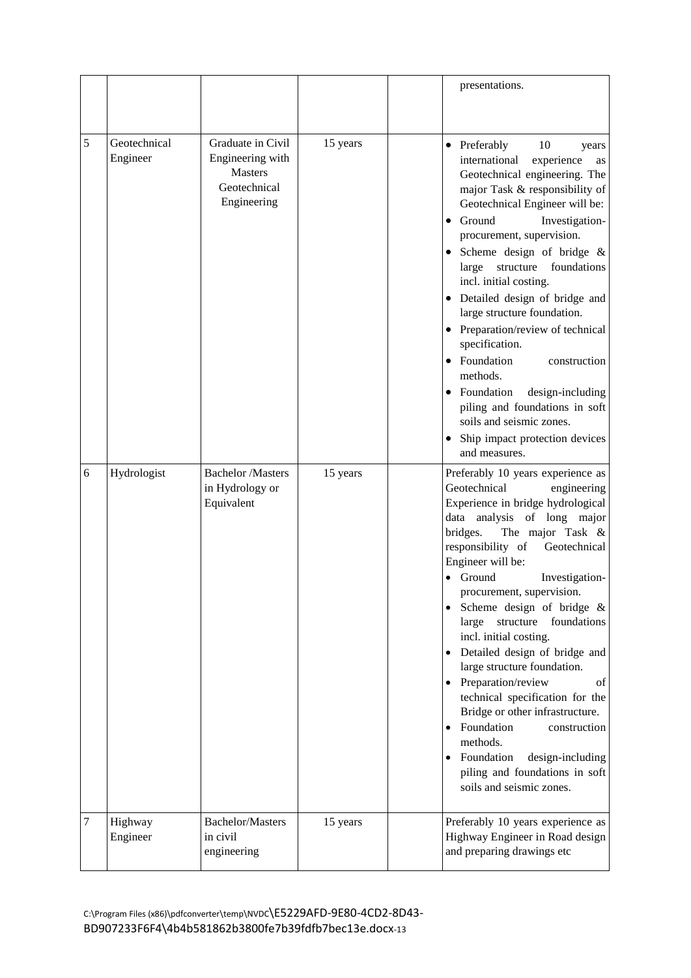|   |                          |                                                                                        |          | presentations.                                                                                                                                                                                                                                                                                                                                                                                                                                                                                                                                                                                                                                                                                  |
|---|--------------------------|----------------------------------------------------------------------------------------|----------|-------------------------------------------------------------------------------------------------------------------------------------------------------------------------------------------------------------------------------------------------------------------------------------------------------------------------------------------------------------------------------------------------------------------------------------------------------------------------------------------------------------------------------------------------------------------------------------------------------------------------------------------------------------------------------------------------|
| 5 | Geotechnical<br>Engineer | Graduate in Civil<br>Engineering with<br><b>Masters</b><br>Geotechnical<br>Engineering | 15 years | 10<br>• Preferably<br>years<br>international<br>experience<br>as<br>Geotechnical engineering. The<br>major Task & responsibility of<br>Geotechnical Engineer will be:<br>Ground<br>Investigation-<br>procurement, supervision.<br>Scheme design of bridge &<br>structure<br>foundations<br>large<br>incl. initial costing.<br>• Detailed design of bridge and<br>large structure foundation.<br>• Preparation/review of technical<br>specification.<br>Foundation<br>construction<br>methods.<br>• Foundation<br>design-including<br>piling and foundations in soft<br>soils and seismic zones.<br>Ship impact protection devices<br>and measures.                                              |
| 6 | Hydrologist              | <b>Bachelor</b> /Masters<br>in Hydrology or<br>Equivalent                              | 15 years | Preferably 10 years experience as<br>Geotechnical<br>engineering<br>Experience in bridge hydrological<br>data analysis of long major<br>bridges.<br>The major Task &<br>responsibility of<br>Geotechnical<br>Engineer will be:<br>Ground<br>Investigation-<br>procurement, supervision.<br>Scheme design of bridge &<br>large<br>structure<br>foundations<br>incl. initial costing.<br>Detailed design of bridge and<br>large structure foundation.<br>Preparation/review<br>of<br>technical specification for the<br>Bridge or other infrastructure.<br>Foundation<br>construction<br>methods.<br>Foundation<br>design-including<br>piling and foundations in soft<br>soils and seismic zones. |
| 7 | Highway<br>Engineer      | <b>Bachelor/Masters</b><br>in civil<br>engineering                                     | 15 years | Preferably 10 years experience as<br>Highway Engineer in Road design<br>and preparing drawings etc                                                                                                                                                                                                                                                                                                                                                                                                                                                                                                                                                                                              |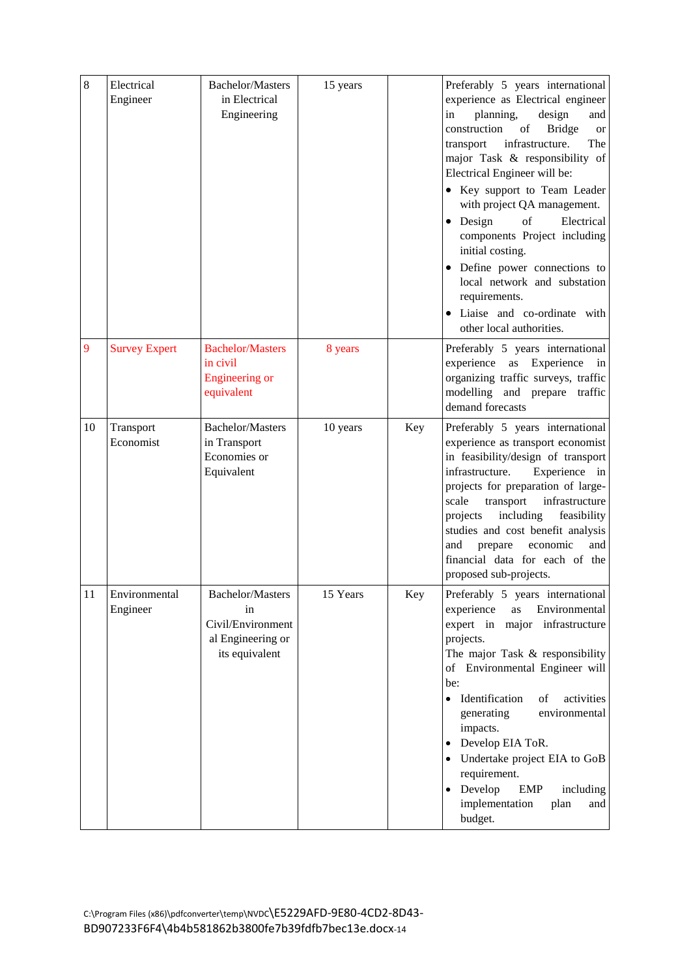| 8  | Electrical<br>Engineer    | <b>Bachelor/Masters</b><br>in Electrical<br>Engineering                                   | 15 years |     | Preferably 5 years international<br>experience as Electrical engineer<br>planning,<br>in<br>design<br>and<br>construction<br>of<br><b>Bridge</b><br><b>or</b><br>infrastructure.<br>transport<br>The<br>major Task & responsibility of<br>Electrical Engineer will be:<br>• Key support to Team Leader<br>with project QA management.<br>$\bullet$ Design<br>Electrical<br>of<br>components Project including<br>initial costing.<br>• Define power connections to<br>local network and substation<br>requirements.<br>• Liaise and co-ordinate with<br>other local authorities. |
|----|---------------------------|-------------------------------------------------------------------------------------------|----------|-----|----------------------------------------------------------------------------------------------------------------------------------------------------------------------------------------------------------------------------------------------------------------------------------------------------------------------------------------------------------------------------------------------------------------------------------------------------------------------------------------------------------------------------------------------------------------------------------|
| 9  | <b>Survey Expert</b>      | <b>Bachelor/Masters</b><br>in civil<br>Engineering or<br>equivalent                       | 8 years  |     | Preferably 5 years international<br>experience as Experience in<br>organizing traffic surveys, traffic<br>modelling and prepare traffic<br>demand forecasts                                                                                                                                                                                                                                                                                                                                                                                                                      |
| 10 | Transport<br>Economist    | <b>Bachelor/Masters</b><br>in Transport<br>Economies or<br>Equivalent                     | 10 years | Key | Preferably 5 years international<br>experience as transport economist<br>in feasibility/design of transport<br>infrastructure.<br>Experience in<br>projects for preparation of large-<br>scale<br>transport<br>infrastructure<br>including<br>projects<br>feasibility<br>studies and cost benefit analysis<br>prepare<br>economic<br>and<br>and<br>financial data for each of the<br>proposed sub-projects.                                                                                                                                                                      |
| 11 | Environmental<br>Engineer | <b>Bachelor/Masters</b><br>in<br>Civil/Environment<br>al Engineering or<br>its equivalent | 15 Years | Key | Preferably 5 years international<br>experience<br>Environmental<br>as<br>expert in major infrastructure<br>projects.<br>The major Task & responsibility<br>of Environmental Engineer will<br>be:<br>· Identification<br>of<br>activities<br>generating<br>environmental<br>impacts.<br>Develop EIA ToR.<br>Undertake project EIA to GoB<br>requirement.<br>Develop<br>EMP<br>including<br>implementation<br>plan<br>and<br>budget.                                                                                                                                               |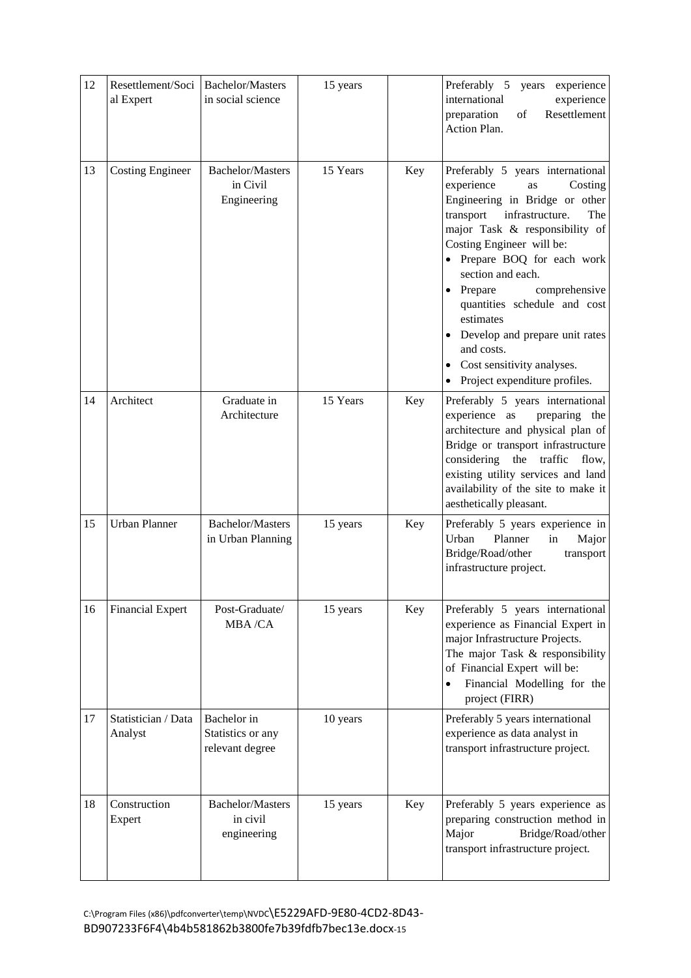| 12 | Resettlement/Soci<br>al Expert | <b>Bachelor/Masters</b><br>in social science        | 15 years |     | Preferably 5<br>years<br>experience<br>international<br>experience<br>Resettlement<br>preparation<br>of<br>Action Plan.                                                                                                                                                                                                                                                                                                                                   |
|----|--------------------------------|-----------------------------------------------------|----------|-----|-----------------------------------------------------------------------------------------------------------------------------------------------------------------------------------------------------------------------------------------------------------------------------------------------------------------------------------------------------------------------------------------------------------------------------------------------------------|
| 13 | <b>Costing Engineer</b>        | <b>Bachelor/Masters</b><br>in Civil<br>Engineering  | 15 Years | Key | Preferably 5 years international<br>experience<br>Costing<br>as<br>Engineering in Bridge or other<br>transport<br>infrastructure.<br>The<br>major Task & responsibility of<br>Costing Engineer will be:<br>• Prepare BOQ for each work<br>section and each.<br>• Prepare<br>comprehensive<br>quantities schedule and cost<br>estimates<br>Develop and prepare unit rates<br>and costs.<br>• Cost sensitivity analyses.<br>• Project expenditure profiles. |
| 14 | Architect                      | Graduate in<br>Architecture                         | 15 Years | Key | Preferably 5 years international<br>experience as<br>preparing the<br>architecture and physical plan of<br>Bridge or transport infrastructure<br>considering the<br>traffic<br>flow,<br>existing utility services and land<br>availability of the site to make it<br>aesthetically pleasant.                                                                                                                                                              |
| 15 | Urban Planner                  | <b>Bachelor/Masters</b><br>in Urban Planning        | 15 years | Key | Preferably 5 years experience in<br>Urban<br>Planner<br>in<br>Major<br>Bridge/Road/other<br>transport<br>infrastructure project.                                                                                                                                                                                                                                                                                                                          |
| 16 | <b>Financial Expert</b>        | Post-Graduate/<br>MBA/CA                            | 15 years | Key | Preferably 5 years international<br>experience as Financial Expert in<br>major Infrastructure Projects.<br>The major Task & responsibility<br>of Financial Expert will be:<br>Financial Modelling for the<br>$\bullet$<br>project (FIRR)                                                                                                                                                                                                                  |
| 17 | Statistician / Data<br>Analyst | Bachelor in<br>Statistics or any<br>relevant degree | 10 years |     | Preferably 5 years international<br>experience as data analyst in<br>transport infrastructure project.                                                                                                                                                                                                                                                                                                                                                    |
| 18 | Construction<br>Expert         | <b>Bachelor/Masters</b><br>in civil<br>engineering  | 15 years | Key | Preferably 5 years experience as<br>preparing construction method in<br>Major<br>Bridge/Road/other<br>transport infrastructure project.                                                                                                                                                                                                                                                                                                                   |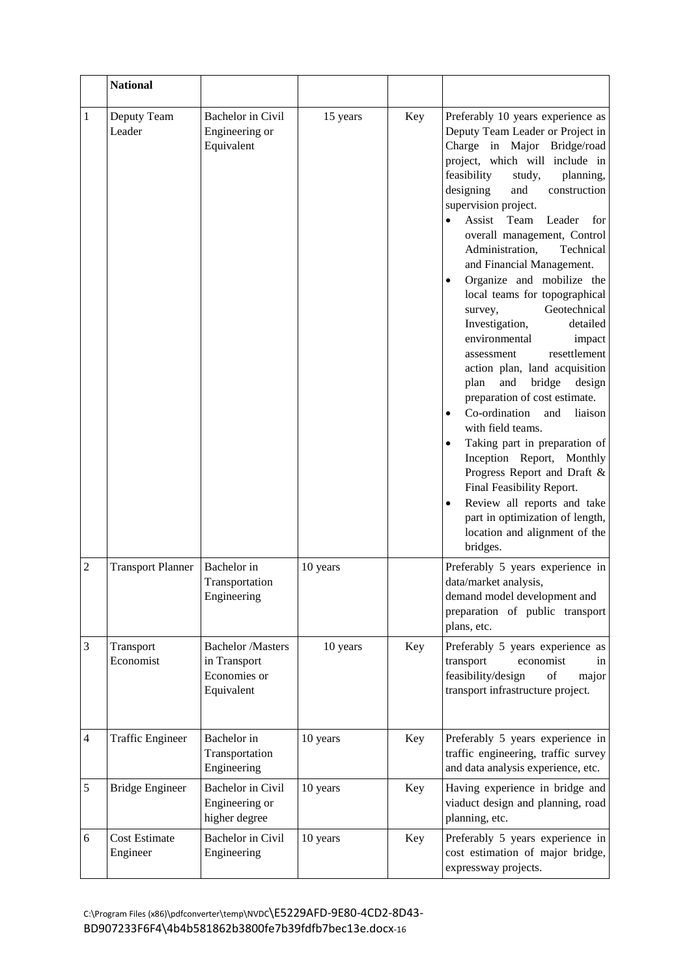|                | <b>National</b>                  |                                                                        |          |     |                                                                                                                                                                                                                                                                                                                                                                                                                                                                                                                                                                                                                                                                                                                                                                                                                                                                                                                                                                                                                   |
|----------------|----------------------------------|------------------------------------------------------------------------|----------|-----|-------------------------------------------------------------------------------------------------------------------------------------------------------------------------------------------------------------------------------------------------------------------------------------------------------------------------------------------------------------------------------------------------------------------------------------------------------------------------------------------------------------------------------------------------------------------------------------------------------------------------------------------------------------------------------------------------------------------------------------------------------------------------------------------------------------------------------------------------------------------------------------------------------------------------------------------------------------------------------------------------------------------|
| 1              | Deputy Team<br>Leader            | Bachelor in Civil<br>Engineering or<br>Equivalent                      | 15 years | Key | Preferably 10 years experience as<br>Deputy Team Leader or Project in<br>Charge in Major Bridge/road<br>project, which will include in<br>feasibility<br>study,<br>planning,<br>designing<br>and<br>construction<br>supervision project.<br>Assist<br>Team<br>Leader<br>for<br>overall management, Control<br>Administration,<br>Technical<br>and Financial Management.<br>Organize and mobilize the<br>$\bullet$<br>local teams for topographical<br>Geotechnical<br>survey,<br>Investigation,<br>detailed<br>environmental<br>impact<br>resettlement<br>assessment<br>action plan, land acquisition<br>and<br>bridge<br>plan<br>design<br>preparation of cost estimate.<br>Co-ordination<br>and<br>liaison<br>$\bullet$<br>with field teams.<br>Taking part in preparation of<br>$\bullet$<br>Inception Report, Monthly<br>Progress Report and Draft &<br>Final Feasibility Report.<br>Review all reports and take<br>$\bullet$<br>part in optimization of length,<br>location and alignment of the<br>bridges. |
| $\overline{2}$ | <b>Transport Planner</b>         | Bachelor in<br>Transportation<br>Engineering                           | 10 years |     | Preferably 5 years experience in<br>data/market analysis,<br>demand model development and<br>preparation of public transport<br>plans, etc.                                                                                                                                                                                                                                                                                                                                                                                                                                                                                                                                                                                                                                                                                                                                                                                                                                                                       |
| 3              | Transport<br>Economist           | <b>Bachelor</b> /Masters<br>in Transport<br>Economies or<br>Equivalent | 10 years | Key | Preferably 5 years experience as<br>transport<br>economist<br>in<br>feasibility/design<br>of<br>major<br>transport infrastructure project.                                                                                                                                                                                                                                                                                                                                                                                                                                                                                                                                                                                                                                                                                                                                                                                                                                                                        |
| 4              | <b>Traffic Engineer</b>          | Bachelor in<br>Transportation<br>Engineering                           | 10 years | Key | Preferably 5 years experience in<br>traffic engineering, traffic survey<br>and data analysis experience, etc.                                                                                                                                                                                                                                                                                                                                                                                                                                                                                                                                                                                                                                                                                                                                                                                                                                                                                                     |
| $\mathfrak s$  | <b>Bridge Engineer</b>           | Bachelor in Civil<br>Engineering or<br>higher degree                   | 10 years | Key | Having experience in bridge and<br>viaduct design and planning, road<br>planning, etc.                                                                                                                                                                                                                                                                                                                                                                                                                                                                                                                                                                                                                                                                                                                                                                                                                                                                                                                            |
| 6              | <b>Cost Estimate</b><br>Engineer | Bachelor in Civil<br>Engineering                                       | 10 years | Key | Preferably 5 years experience in<br>cost estimation of major bridge,<br>expressway projects.                                                                                                                                                                                                                                                                                                                                                                                                                                                                                                                                                                                                                                                                                                                                                                                                                                                                                                                      |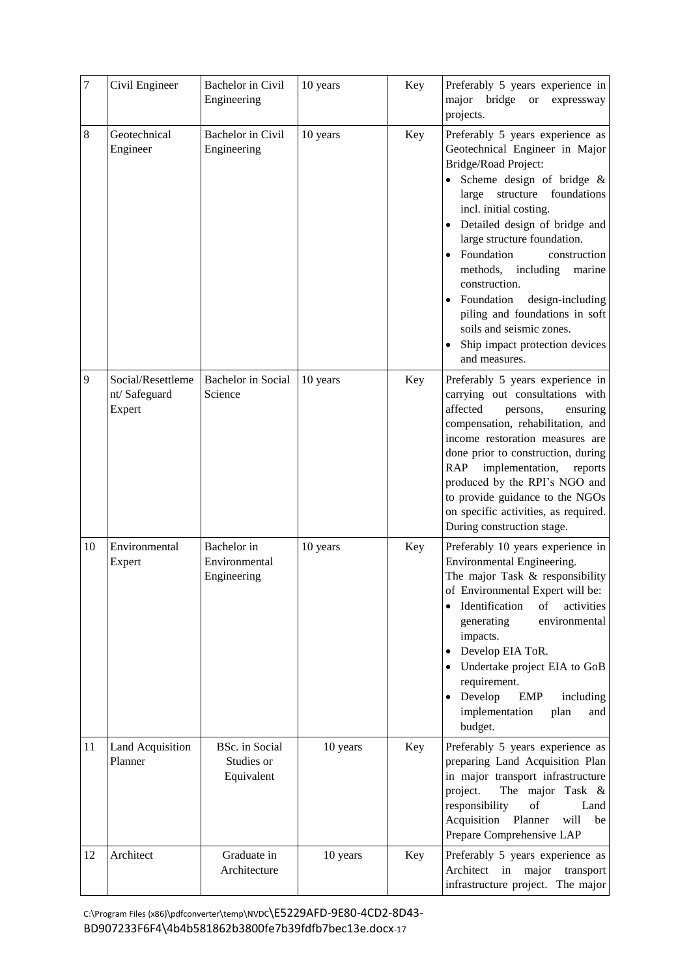| $\overline{7}$ | Civil Engineer                              | Bachelor in Civil<br>Engineering            | 10 years | Key | Preferably 5 years experience in<br>major bridge or<br>expressway<br>projects.                                                                                                                                                                                                                                                                                                                                                                                                                  |
|----------------|---------------------------------------------|---------------------------------------------|----------|-----|-------------------------------------------------------------------------------------------------------------------------------------------------------------------------------------------------------------------------------------------------------------------------------------------------------------------------------------------------------------------------------------------------------------------------------------------------------------------------------------------------|
| $\,8\,$        | Geotechnical<br>Engineer                    | Bachelor in Civil<br>Engineering            | 10 years | Key | Preferably 5 years experience as<br>Geotechnical Engineer in Major<br>Bridge/Road Project:<br>Scheme design of bridge &<br>structure<br>foundations<br>large<br>incl. initial costing.<br>• Detailed design of bridge and<br>large structure foundation.<br>Foundation<br>construction<br>methods,<br>including<br>marine<br>construction.<br>• Foundation<br>design-including<br>piling and foundations in soft<br>soils and seismic zones.<br>Ship impact protection devices<br>and measures. |
| 9              | Social/Resettleme<br>nt/Safeguard<br>Expert | Bachelor in Social<br>Science               | 10 years | Key | Preferably 5 years experience in<br>carrying out consultations with<br>affected<br>persons,<br>ensuring<br>compensation, rehabilitation, and<br>income restoration measures are<br>done prior to construction, during<br><b>RAP</b><br>implementation,<br>reports<br>produced by the RPI's NGO and<br>to provide guidance to the NGOs<br>on specific activities, as required.<br>During construction stage.                                                                                     |
| 10             | Environmental<br>Expert                     | Bachelor in<br>Environmental<br>Engineering | 10 years | Key | Preferably 10 years experience in<br>Environmental Engineering.<br>The major Task & responsibility<br>of Environmental Expert will be:<br>Identification<br>of<br>activities<br>$\bullet$<br>generating<br>environmental<br>impacts.<br>Develop EIA ToR.<br>Undertake project EIA to GoB<br>$\bullet$<br>requirement.<br>Develop<br><b>EMP</b><br>including<br>$\bullet$<br>implementation<br>plan<br>and<br>budget.                                                                            |
| 11             | Land Acquisition<br>Planner                 | BSc. in Social<br>Studies or<br>Equivalent  | 10 years | Key | Preferably 5 years experience as<br>preparing Land Acquisition Plan<br>in major transport infrastructure<br>project.<br>The major Task &<br>responsibility<br>of<br>Land<br>Acquisition<br>Planner<br>will<br>be<br>Prepare Comprehensive LAP                                                                                                                                                                                                                                                   |
| 12             | Architect                                   | Graduate in<br>Architecture                 | 10 years | Key | Preferably 5 years experience as<br>Architect in<br>major<br>transport<br>infrastructure project. The major                                                                                                                                                                                                                                                                                                                                                                                     |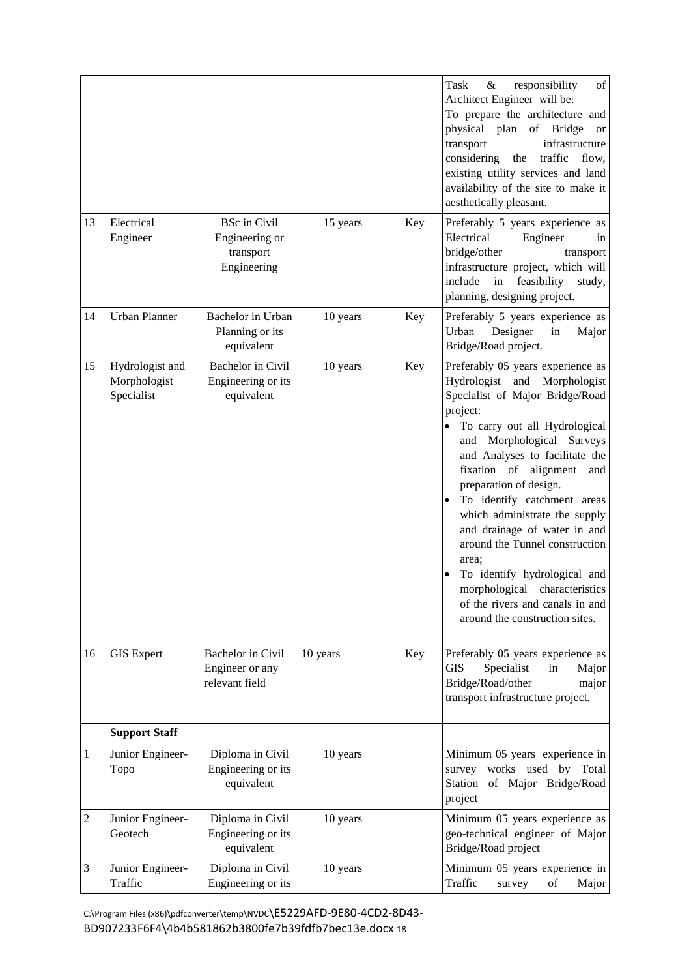|                |                                               |                                                                   |          |     | Task<br>responsibility<br>of<br>&<br>Architect Engineer will be:<br>To prepare the architecture and<br>physical plan<br>of Bridge<br><b>or</b><br>infrastructure<br>transport<br>considering<br>traffic<br>the<br>flow,<br>existing utility services and land<br>availability of the site to make it<br>aesthetically pleasant.                                                                                                                                                                                                                             |
|----------------|-----------------------------------------------|-------------------------------------------------------------------|----------|-----|-------------------------------------------------------------------------------------------------------------------------------------------------------------------------------------------------------------------------------------------------------------------------------------------------------------------------------------------------------------------------------------------------------------------------------------------------------------------------------------------------------------------------------------------------------------|
| 13             | Electrical<br>Engineer                        | <b>BSc</b> in Civil<br>Engineering or<br>transport<br>Engineering | 15 years | Key | Preferably 5 years experience as<br>Electrical<br>Engineer<br>in<br>bridge/other<br>transport<br>infrastructure project, which will<br>include<br>feasibility<br>in<br>study,<br>planning, designing project.                                                                                                                                                                                                                                                                                                                                               |
| 14             | <b>Urban Planner</b>                          | Bachelor in Urban<br>Planning or its<br>equivalent                | 10 years | Key | Preferably 5 years experience as<br>Urban<br>Designer<br>in<br>Major<br>Bridge/Road project.                                                                                                                                                                                                                                                                                                                                                                                                                                                                |
| 15             | Hydrologist and<br>Morphologist<br>Specialist | Bachelor in Civil<br>Engineering or its<br>equivalent             | 10 years | Key | Preferably 05 years experience as<br>Hydrologist and Morphologist<br>Specialist of Major Bridge/Road<br>project:<br>To carry out all Hydrological<br>and Morphological Surveys<br>and Analyses to facilitate the<br>fixation of alignment<br>and<br>preparation of design.<br>To identify catchment areas<br>which administrate the supply<br>and drainage of water in and<br>around the Tunnel construction<br>area;<br>To identify hydrological and<br>morphological characteristics<br>of the rivers and canals in and<br>around the construction sites. |
| 16             | <b>GIS Expert</b>                             | Bachelor in Civil<br>Engineer or any<br>relevant field            | 10 years | Key | Preferably 05 years experience as<br>Specialist<br>Major<br>GIS<br>in<br>Bridge/Road/other<br>major<br>transport infrastructure project.                                                                                                                                                                                                                                                                                                                                                                                                                    |
|                | <b>Support Staff</b>                          |                                                                   |          |     |                                                                                                                                                                                                                                                                                                                                                                                                                                                                                                                                                             |
| 1              | Junior Engineer-<br>Topo                      | Diploma in Civil<br>Engineering or its<br>equivalent              | 10 years |     | Minimum 05 years experience in<br>survey works used by Total<br>Station of Major Bridge/Road<br>project                                                                                                                                                                                                                                                                                                                                                                                                                                                     |
| $\overline{c}$ | Junior Engineer-<br>Geotech                   | Diploma in Civil<br>Engineering or its<br>equivalent              | 10 years |     | Minimum 05 years experience as<br>geo-technical engineer of Major<br>Bridge/Road project                                                                                                                                                                                                                                                                                                                                                                                                                                                                    |
| 3              | Junior Engineer-<br>Traffic                   | Diploma in Civil<br>Engineering or its                            | 10 years |     | Minimum 05 years experience in<br>Traffic<br>survey<br>of<br>Major                                                                                                                                                                                                                                                                                                                                                                                                                                                                                          |

C:\Program Files (x86)\pdfconverter\temp\NVDC\E5229AFD-9E80-4CD2-8D43- BD907233F6F4\4b4b581862b3800fe7b39fdfb7bec13e.docx-18